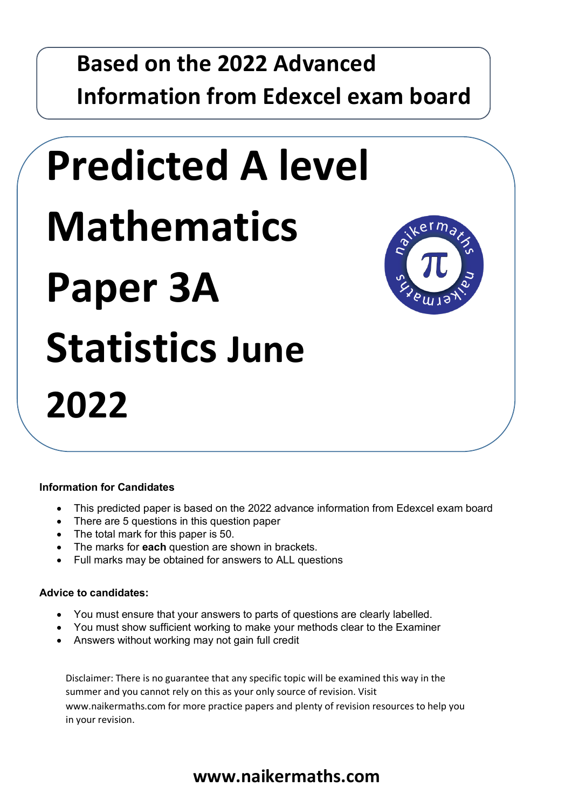## **Based on the 2022 Advanced Information from Edexcel exam board**

# **Predicted A level Mathematics Paper 3A Statistics June 2022**



**Set B**

- **•** This predicted paper is based on the 2022 advance information from Edexcel exam board
	- There are 5 questions in this question paper
	- The total mark for this paper is 50.
	- The marks for **each** question are shown in brackets.
	- Full marks may be obtained for answers to ALL questions

#### **Advice to candidates:**

- You must ensure that your answers to parts of questions are clearly labelled.
- You must show sufficient working to make your methods clear to the Examiner
- Answers without working may not gain full credit

Disclaimer: There is no guarantee that any specific topic will be examined this way in the summer and you cannot rely on this as your only source of revision. Visit www.naikermaths.com for more practice papers and plenty of revision resources to help you in your revision.

### **www.naikermaths.com**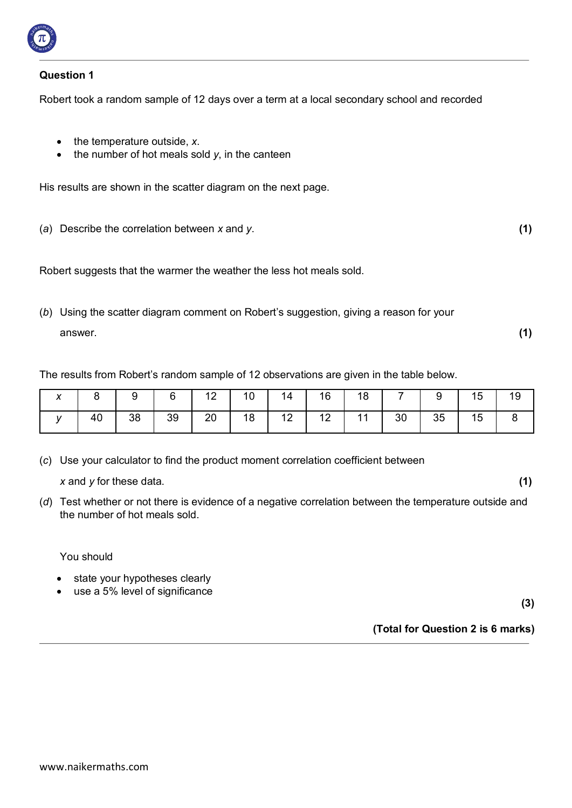

#### **Question 1**

Robert took a random sample of 12 days over a term at a local secondary school and recorded

- the temperature outside, *x*.
- the number of hot meals sold *y*, in the canteen

His results are shown in the scatter diagram on the next page.

(*a*) Describe the correlation between *x* and *y*. **(1)**

Robert suggests that the warmer the weather the less hot meals sold.

(*b*) Using the scatter diagram comment on Robert's suggestion, giving a reason for your

answer. **(1)**

The results from Robert's random sample of 12 observations are given in the table below.

| $\boldsymbol{X}$ | 8  | $\begin{array}{c} \hline \end{array}$ | $\begin{array}{ccc} \hline \end{array}$    | 12   10   14 | 16 | 18   7 | 9 | 15 <sub>1</sub> | 19 |
|------------------|----|---------------------------------------|--------------------------------------------|--------------|----|--------|---|-----------------|----|
|                  | 40 |                                       | 38   39   20   18   12   12   11   30   35 |              |    |        |   | 15              |    |

(*c*) Use your calculator to find the product moment correlation coefficient between

*x* and *y* for these data. **(1)**

(*d*) Test whether or not there is evidence of a negative correlation between the temperature outside and the number of hot meals sold.

#### You should

- state your hypotheses clearly
- use a 5% level of significance

**(Total for Question 2 is 6 marks)**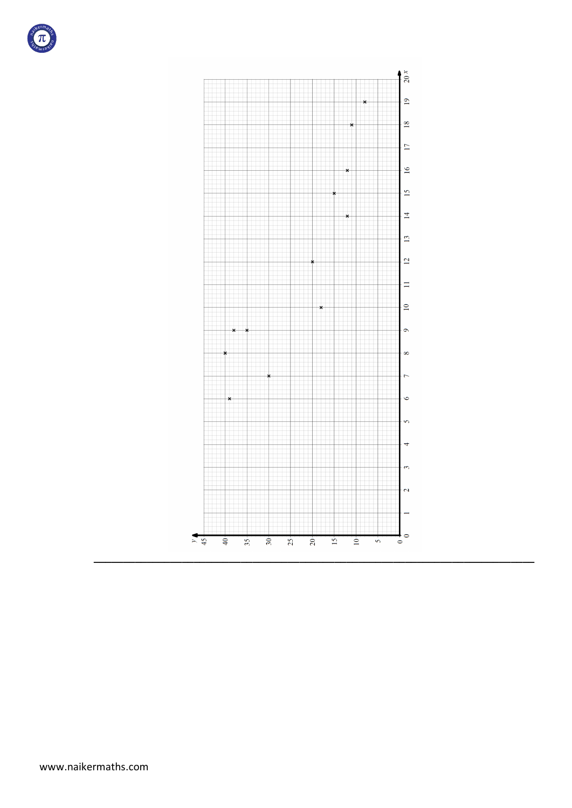

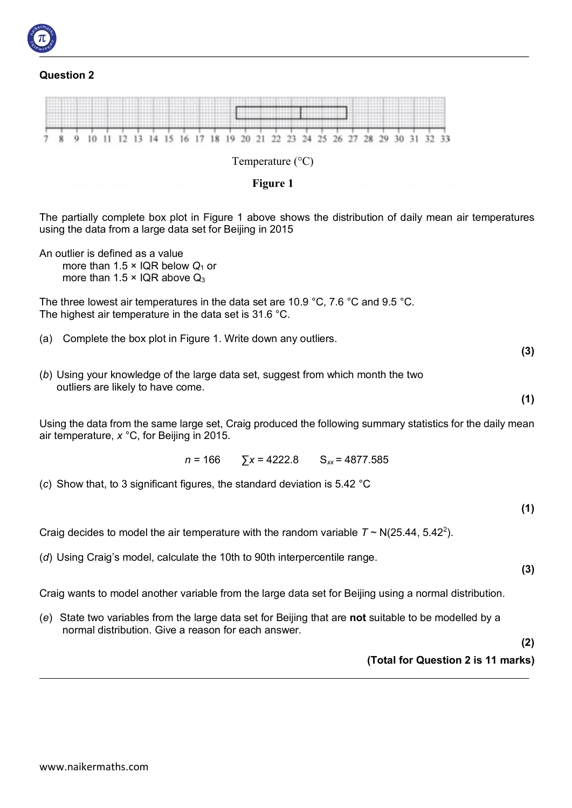

The partially complete box plot in Figure 1 above shows the distribution of daily mean air temperatures using the data from a large data set for Beijing in 2015

An outlier is defined as a value more than  $1.5 \times IQR$  below  $Q_1$  or more than  $1.5 \times$  IQR above  $Q_3$ 

The three lowest air temperatures in the data set are 10.9 °C, 7.6 °C and 9.5 °C. The highest air temperature in the data set is 31.6 °C.

(a) Complete the box plot in Figure 1. Write down any outliers.

(*b*) Using your knowledge of the large data set, suggest from which month the two outliers are likely to have come.

**(1)**

**(3)**

Using the data from the same large set, Craig produced the following summary statistics for the daily mean air temperature, *x* °C, for Beijing in 2015.

*n* = 166 ∑*x* = 4222.8 S*xx* = 4877.585

(*c*) Show that, to 3 significant figures, the standard deviation is 5.42 °C

**(1)**

**(3)**

Craig decides to model the air temperature with the random variable  $T \sim N(25.44, 5.42^2)$ .

(*d*) Using Craig's model, calculate the 10th to 90th interpercentile range.

Craig wants to model another variable from the large data set for Beijing using a normal distribution.

(*e*) State two variables from the large data set for Beijing that are **not** suitable to be modelled by a normal distribution. Give a reason for each answer.

**(2)**

#### **(Total for Question 2 is 11 marks)**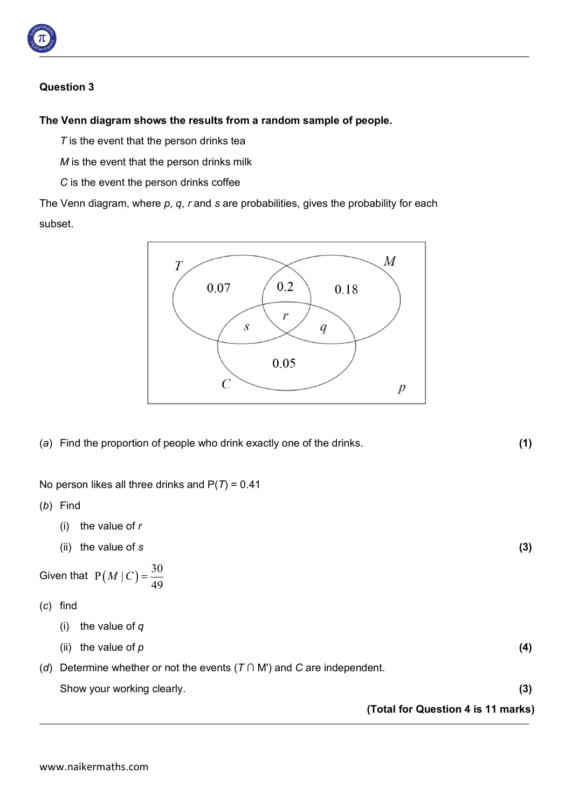

#### **Question 3**

#### **The Venn diagram shows the results from a random sample of people.**

*T* is the event that the person drinks tea

*M* is the event that the person drinks milk

*C* is the event the person drinks coffee

The Venn diagram, where *p*, *q*, *r* and *s* are probabilities, gives the probability for each subset.



(*a*) Find the proportion of people who drink exactly one of the drinks. **(1)**

No person likes all three drinks and P(*T*) = 0.41

(*b*) Find

- (i) the value of *r*
- (ii) the value of *s* **(3)**

Given that  $P(M | C) = \frac{30}{49}$ 

|   | (i) the value of $q$ |
|---|----------------------|
| . |                      |

- (ii) the value of  $p$  (4)
- (*d*) Determine whether or not the events (*T* ∩ Mʹ) and *C* are independent.

Show your working clearly. **(3)** Show your working clearly. **(3)** Show your working clearly  $(3)$ 

**(Total for Question 4 is 11 marks)**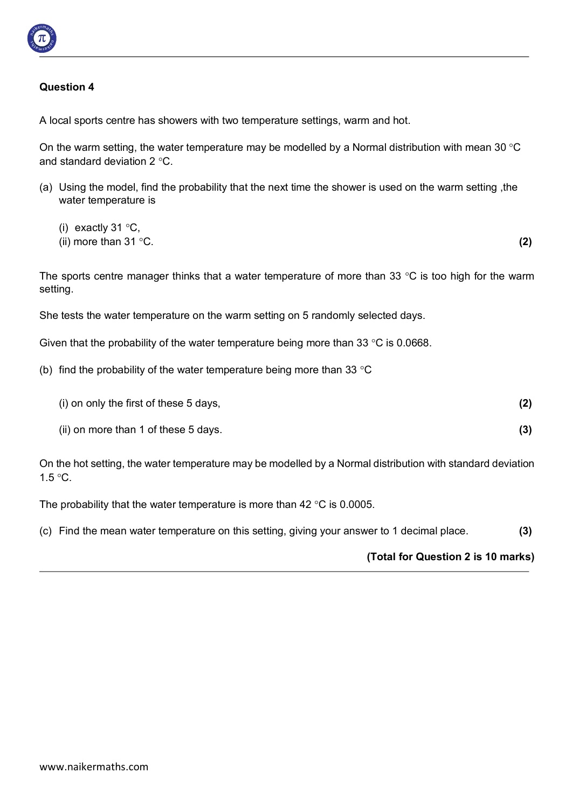

#### **Question 4**

A local sports centre has showers with two temperature settings, warm and hot.

On the warm setting, the water temperature may be modelled by a Normal distribution with mean 30  $\degree$ C and standard deviation 2 °C.

- (a) Using the model, find the probability that the next time the shower is used on the warm setting ,the water temperature is
	- (i) exactly 31 °C,
	- (ii) more than  $31 \text{ °C}$ . (2)

The sports centre manager thinks that a water temperature of more than 33 °C is too high for the warm setting.

She tests the water temperature on the warm setting on 5 randomly selected days.

Given that the probability of the water temperature being more than 33 °C is 0.0668.

(b) find the probability of the water temperature being more than 33  $\degree$ C

| (i) on only the first of these 5 days, |  |
|----------------------------------------|--|
| (ii) on more than 1 of these 5 days.   |  |

On the hot setting, the water temperature may be modelled by a Normal distribution with standard deviation 1.5 °C.

The probability that the water temperature is more than 42 °C is 0.0005.

(c) Find the mean water temperature on this setting, giving your answer to 1 decimal place. **(3)**

#### **(Total for Question 2 is 10 marks)**